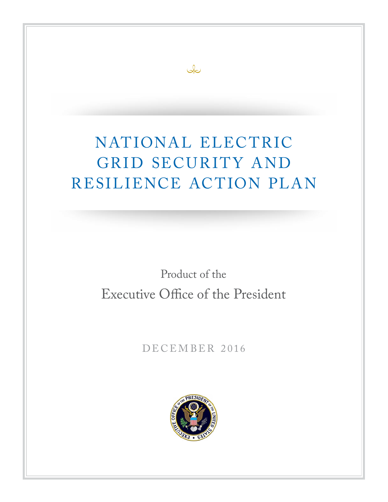# NATIONAL ELECTRIC GRID SECURITY AND RESILIENCE ACTION PLAN

 $\infty$ 

Product of the Executive Office of the President

DECEMBER 2016

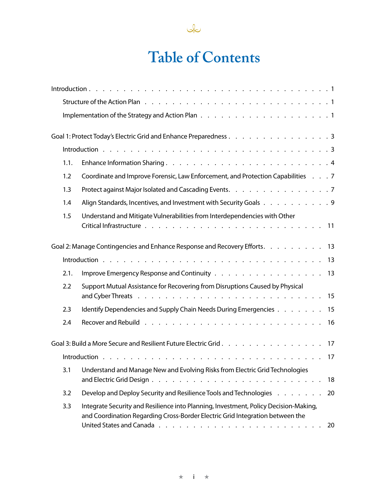

# **Table of Contents**

|      | Goal 1: Protect Today's Electric Grid and Enhance Preparedness 3                                                                                                            |
|------|-----------------------------------------------------------------------------------------------------------------------------------------------------------------------------|
|      |                                                                                                                                                                             |
| 1.1. |                                                                                                                                                                             |
| 1.2  | Coordinate and Improve Forensic, Law Enforcement, and Protection Capabilities 7                                                                                             |
| 1.3  | Protect against Major Isolated and Cascading Events. 7                                                                                                                      |
| 1.4  | Align Standards, Incentives, and Investment with Security Goals 9                                                                                                           |
| 1.5  | Understand and Mitigate Vulnerabilities from Interdependencies with Other                                                                                                   |
|      | Goal 2: Manage Contingencies and Enhance Response and Recovery Efforts.<br>13                                                                                               |
|      | 13                                                                                                                                                                          |
| 2.1. | 13                                                                                                                                                                          |
| 2.2  | Support Mutual Assistance for Recovering from Disruptions Caused by Physical                                                                                                |
| 2.3  | Identify Dependencies and Supply Chain Needs During Emergencies<br>15                                                                                                       |
| 2.4  | 16                                                                                                                                                                          |
|      | Goal 3: Build a More Secure and Resilient Future Electric Grid<br>17                                                                                                        |
|      | 17                                                                                                                                                                          |
| 3.1  | Understand and Manage New and Evolving Risks from Electric Grid Technologies<br>18                                                                                          |
| 3.2  | Develop and Deploy Security and Resilience Tools and Technologies<br>20                                                                                                     |
| 3.3  | Integrate Security and Resilience into Planning, Investment, Policy Decision-Making,<br>and Coordination Regarding Cross-Border Electric Grid Integration between the<br>20 |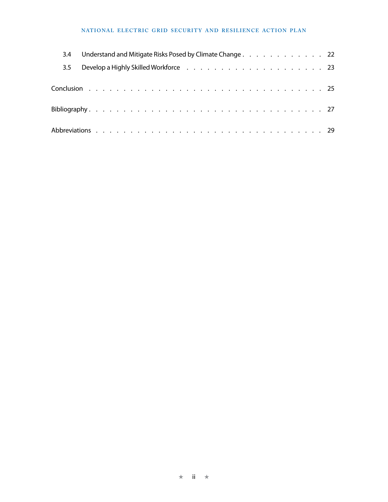#### NATIONAL ELECTRIC GRID SECURITY AND RESILIENCE ACTION PLAN

| 3.4     | Understand and Mitigate Risks Posed by Climate Change. 22 |
|---------|-----------------------------------------------------------|
| $3.5 -$ |                                                           |
|         |                                                           |
|         |                                                           |
|         |                                                           |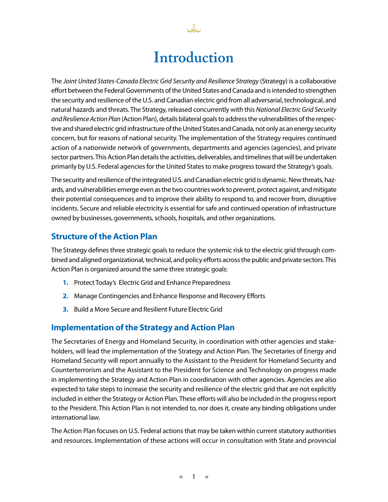# **Introduction**

نكك

The *Joint United States-Canada Electric Grid Security and Resilience Strategy* (Strategy) is a collaborative effort between the Federal Governments of the United States and Canada and is intended to strengthen the security and resilience of the U.S. and Canadian electric grid from all adversarial, technological, and natural hazards and threats. The Strategy, released concurrently with this *National Electric Grid Security and Resilience Action Plan* (Action Plan), details bilateral goals to address the vulnerabilities of the respective and shared electric grid infrastructure of the United States and Canada, not only as an energy security concern, but for reasons of national security. The implementation of the Strategy requires continued action of a nationwide network of governments, departments and agencies (agencies), and private sector partners. This Action Plan details the activities, deliverables, and timelines that will be undertaken primarily by U.S. Federal agencies for the United States to make progress toward the Strategy's goals.

The security and resilience of the integrated U.S. and Canadian electric grid is dynamic. New threats, hazards, and vulnerabilities emerge even as the two countries work to prevent, protect against, and mitigate their potential consequences and to improve their ability to respond to, and recover from, disruptive incidents. Secure and reliable electricity is essential for safe and continued operation of infrastructure owned by businesses, governments, schools, hospitals, and other organizations.

## **Structure of the Action Plan**

The Strategy defines three strategic goals to reduce the systemic risk to the electric grid through combined and aligned organizational, technical, and policy efforts across the public and private sectors. This Action Plan is organized around the same three strategic goals:

- **1.** Protect Today's Electric Grid and Enhance Preparedness
- **2.** Manage Contingencies and Enhance Response and Recovery Efforts
- **3.** Build a More Secure and Resilient Future Electric Grid

## **Implementation of the Strategy and Action Plan**

The Secretaries of Energy and Homeland Security, in coordination with other agencies and stakeholders, will lead the implementation of the Strategy and Action Plan. The Secretaries of Energy and Homeland Security will report annually to the Assistant to the President for Homeland Security and Counterterrorism and the Assistant to the President for Science and Technology on progress made in implementing the Strategy and Action Plan in coordination with other agencies. Agencies are also expected to take steps to increase the security and resilience of the electric grid that are not explicitly included in either the Strategy or Action Plan. These efforts will also be included in the progress report to the President. This Action Plan is not intended to, nor does it, create any binding obligations under international law.

The Action Plan focuses on U.S. Federal actions that may be taken within current statutory authorities and resources. Implementation of these actions will occur in consultation with State and provincial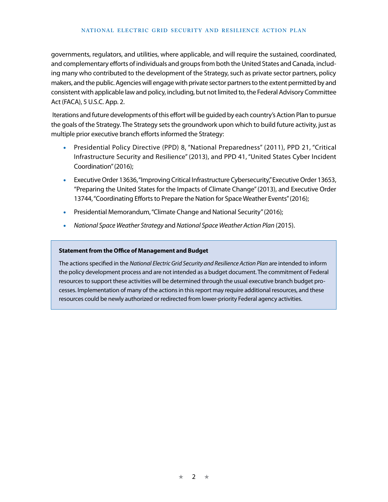#### **NATIONAL ELECTRIC GRID SECURITY AND RESILIENCE ACTION PLAN**

governments, regulators, and utilities, where applicable, and will require the sustained, coordinated, and complementary efforts of individuals and groups from both the United States and Canada, including many who contributed to the development of the Strategy, such as private sector partners, policy makers, and the public. Agencies will engage with private sector partners to the extent permitted by and consistent with applicable law and policy, including, but not limited to, the Federal Advisory Committee Act (FACA), 5 U.S.C. App. 2.

 Iterations and future developments of this effort will be guided by each country's Action Plan to pursue the goals of the Strategy. The Strategy sets the groundwork upon which to build future activity, just as multiple prior executive branch efforts informed the Strategy:

- Presidential Policy Directive (PPD) 8, "National Preparedness" (2011), PPD 21, "Critical Infrastructure Security and Resilience" (2013), and PPD 41, "United States Cyber Incident Coordination" (2016);
- Executive Order 13636, "Improving Critical Infrastructure Cybersecurity," Executive Order 13653, "Preparing the United States for the Impacts of Climate Change" (2013), and Executive Order 13744, "Coordinating Efforts to Prepare the Nation for Space Weather Events" (2016);
- Presidential Memorandum, "Climate Change and National Security" (2016);
- *National Space Weather Strategy* and *National Space Weather Action Plan* (2015).

#### **Statement from the Office of Management and Budget**

The actions specified in the *National Electric Grid Security and Resilience Action Plan* are intended to inform the policy development process and are not intended as a budget document. The commitment of Federal resources to support these activities will be determined through the usual executive branch budget processes. Implementation of many of the actions in this report may require additional resources, and these resources could be newly authorized or redirected from lower-priority Federal agency activities.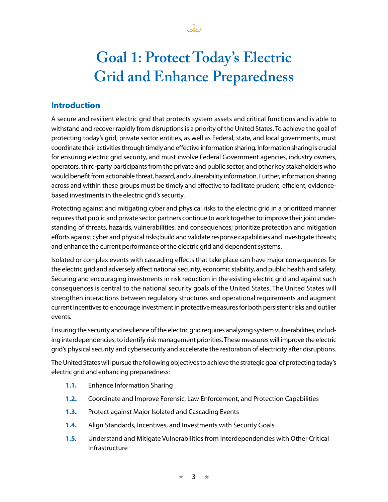

# **Goal 1: Protect Today's Electric Grid and Enhance Preparedness**

# **Introduction**

A secure and resilient electric grid that protects system assets and critical functions and is able to withstand and recover rapidly from disruptions is a priority of the United States. To achieve the goal of protecting today's grid, private sector entities, as well as Federal, state, and local governments, must coordinate their activities through timely and effective information sharing. Information sharing is crucial for ensuring electric grid security, and must involve Federal Government agencies, industry owners, operators, third-party participants from the private and public sector, and other key stakeholders who would benefit from actionable threat, hazard, and vulnerability information. Further, information sharing across and within these groups must be timely and effective to facilitate prudent, efficient, evidencebased investments in the electric grid's security.

Protecting against and mitigating cyber and physical risks to the electric grid in a prioritized manner requires that public and private sector partners continue to work together to: improve their joint understanding of threats, hazards, vulnerabilities, and consequences; prioritize protection and mitigation efforts against cyber and physical risks; build and validate response capabilities and investigate threats; and enhance the current performance of the electric grid and dependent systems.

Isolated or complex events with cascading effects that take place can have major consequences for the electric grid and adversely affect national security, economic stability, and public health and safety. Securing and encouraging investments in risk reduction in the existing electric grid and against such consequences is central to the national security goals of the United States. The United States will strengthen interactions between regulatory structures and operational requirements and augment current incentives to encourage investment in protective measures for both persistent risks and outlier events.

Ensuring the security and resilience of the electric grid requires analyzing system vulnerabilities, including interdependencies, to identify risk management priorities. These measures will improve the electric grid's physical security and cybersecurity and accelerate the restoration of electricity after disruptions.

The United States will pursue the following objectives to achieve the strategic goal of protecting today's electric grid and enhancing preparedness:

- **1.1.** Enhance Information Sharing
- **1.2.** Coordinate and Improve Forensic, Law Enforcement, and Protection Capabilities
- **1.3.** Protect against Major Isolated and Cascading Events
- **1.4.** Align Standards, Incentives, and Investments with Security Goals
- **1.5**. Understand and Mitigate Vulnerabilities from Interdependencies with Other Critical Infrastructure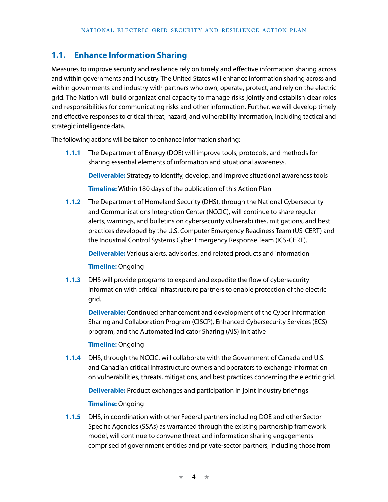## **1.1. Enhance Information Sharing**

Measures to improve security and resilience rely on timely and effective information sharing across and within governments and industry. The United States will enhance information sharing across and within governments and industry with partners who own, operate, protect, and rely on the electric grid. The Nation will build organizational capacity to manage risks jointly and establish clear roles and responsibilities for communicating risks and other information. Further, we will develop timely and effective responses to critical threat, hazard, and vulnerability information, including tactical and strategic intelligence data.

The following actions will be taken to enhance information sharing:

**1.1.1** The Department of Energy (DOE) will improve tools, protocols, and methods for sharing essential elements of information and situational awareness.

**Deliverable:** Strategy to identify, develop, and improve situational awareness tools

**Timeline:** Within 180 days of the publication of this Action Plan

**1.1.2** The Department of Homeland Security (DHS), through the National Cybersecurity and Communications Integration Center (NCCIC), will continue to share regular alerts, warnings, and bulletins on cybersecurity vulnerabilities, mitigations, and best practices developed by the U.S. Computer Emergency Readiness Team (US-CERT) and the Industrial Control Systems Cyber Emergency Response Team (ICS-CERT).

**Deliverable:** Various alerts, advisories, and related products and information

#### **Timeline:** Ongoing

**1.1.3** DHS will provide programs to expand and expedite the flow of cybersecurity information with critical infrastructure partners to enable protection of the electric grid.

**Deliverable:** Continued enhancement and development of the Cyber Information Sharing and Collaboration Program (CISCP), Enhanced Cybersecurity Services (ECS) program, and the Automated Indicator Sharing (AIS) initiative

#### **Timeline:** Ongoing

**1.1.4** DHS, through the NCCIC, will collaborate with the Government of Canada and U.S. and Canadian critical infrastructure owners and operators to exchange information on vulnerabilities, threats, mitigations, and best practices concerning the electric grid.

**Deliverable:** Product exchanges and participation in joint industry briefings

#### **Timeline:** Ongoing

**1.1.5** DHS, in coordination with other Federal partners including DOE and other Sector Specific Agencies (SSAs) as warranted through the existing partnership framework model, will continue to convene threat and information sharing engagements comprised of government entities and private-sector partners, including those from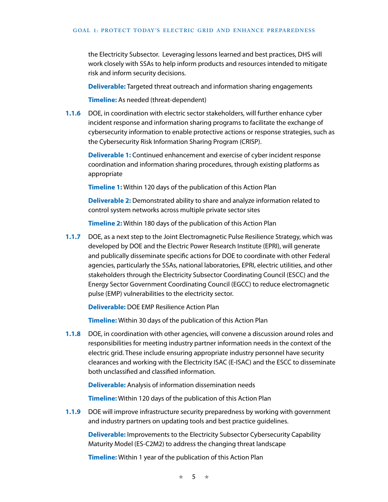the Electricity Subsector. Leveraging lessons learned and best practices, DHS will work closely with SSAs to help inform products and resources intended to mitigate risk and inform security decisions.

**Deliverable:** Targeted threat outreach and information sharing engagements

**Timeline:** As needed (threat-dependent)

**1.1.6** DOE, in coordination with electric sector stakeholders, will further enhance cyber incident response and information sharing programs to facilitate the exchange of cybersecurity information to enable protective actions or response strategies, such as the Cybersecurity Risk Information Sharing Program (CRISP).

**Deliverable 1:** Continued enhancement and exercise of cyber incident response coordination and information sharing procedures, through existing platforms as appropriate

**Timeline 1:** Within 120 days of the publication of this Action Plan

**Deliverable 2:** Demonstrated ability to share and analyze information related to control system networks across multiple private sector sites

**Timeline 2:** Within 180 days of the publication of this Action Plan

**1.1.7** DOE, as a next step to the Joint Electromagnetic Pulse Resilience Strategy, which was developed by DOE and the Electric Power Research Institute (EPRI), will generate and publically disseminate specific actions for DOE to coordinate with other Federal agencies, particularly the SSAs, national laboratories, EPRI, electric utilities, and other stakeholders through the Electricity Subsector Coordinating Council (ESCC) and the Energy Sector Government Coordinating Council (EGCC) to reduce electromagnetic pulse (EMP) vulnerabilities to the electricity sector.

**Deliverable:** DOE EMP Resilience Action Plan

**Timeline:** Within 30 days of the publication of this Action Plan

**1.1.8** DOE, in coordination with other agencies, will convene a discussion around roles and responsibilities for meeting industry partner information needs in the context of the electric grid. These include ensuring appropriate industry personnel have security clearances and working with the Electricity ISAC (E-ISAC) and the ESCC to disseminate both unclassified and classified information.

**Deliverable:** Analysis of information dissemination needs

**Timeline:** Within 120 days of the publication of this Action Plan

**1.1.9** DOE will improve infrastructure security preparedness by working with government and industry partners on updating tools and best practice guidelines.

**Deliverable:** Improvements to the Electricity Subsector Cybersecurity Capability Maturity Model (ES-C2M2) to address the changing threat landscape

**Timeline:** Within 1 year of the publication of this Action Plan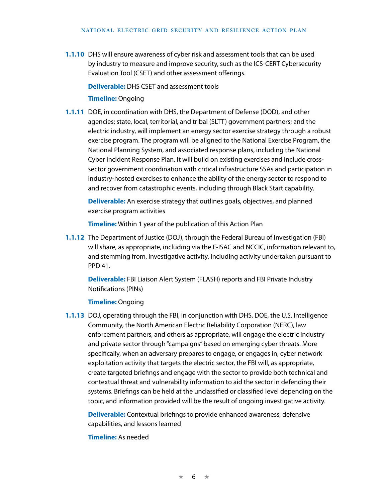#### **NATIONAL ELECTRIC GRID SECURITY AND RESILIENCE ACTION PLAN**

**1.1.10** DHS will ensure awareness of cyber risk and assessment tools that can be used by industry to measure and improve security, such as the ICS-CERT Cybersecurity Evaluation Tool (CSET) and other assessment offerings.

**Deliverable:** DHS CSET and assessment tools

#### **Timeline:** Ongoing

**1.1.11** DOE, in coordination with DHS, the Department of Defense (DOD), and other agencies; state, local, territorial, and tribal (SLTT) government partners; and the electric industry, will implement an energy sector exercise strategy through a robust exercise program. The program will be aligned to the National Exercise Program, the National Planning System, and associated response plans, including the National Cyber Incident Response Plan. It will build on existing exercises and include crosssector government coordination with critical infrastructure SSAs and participation in industry-hosted exercises to enhance the ability of the energy sector to respond to and recover from catastrophic events, including through Black Start capability.

**Deliverable:** An exercise strategy that outlines goals, objectives, and planned exercise program activities

**Timeline:** Within 1 year of the publication of this Action Plan

**1.1.12** The Department of Justice (DOJ), through the Federal Bureau of Investigation (FBI) will share, as appropriate, including via the E-ISAC and NCCIC, information relevant to, and stemming from, investigative activity, including activity undertaken pursuant to PPD 41.

**Deliverable:** FBI Liaison Alert System (FLASH) reports and FBI Private Industry Notifications (PINs)

#### **Timeline:** Ongoing

**1.1.13** DOJ, operating through the FBI, in conjunction with DHS, DOE, the U.S. Intelligence Community, the North American Electric Reliability Corporation (NERC), law enforcement partners, and others as appropriate, will engage the electric industry and private sector through "campaigns" based on emerging cyber threats. More specifically, when an adversary prepares to engage, or engages in, cyber network exploitation activity that targets the electric sector, the FBI will, as appropriate, create targeted briefings and engage with the sector to provide both technical and contextual threat and vulnerability information to aid the sector in defending their systems. Briefings can be held at the unclassified or classified level depending on the topic, and information provided will be the result of ongoing investigative activity.

**Deliverable:** Contextual briefings to provide enhanced awareness, defensive capabilities, and lessons learned

#### **Timeline:** As needed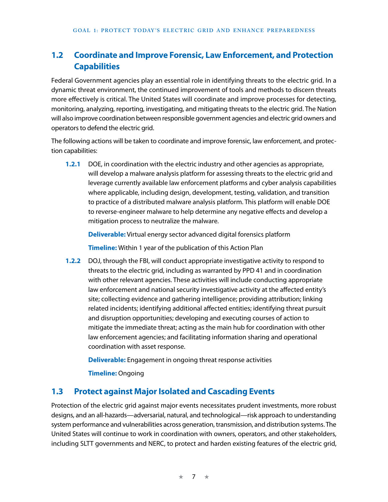# **1.2 Coordinate and Improve Forensic, Law Enforcement, and Protection Capabilities**

Federal Government agencies play an essential role in identifying threats to the electric grid. In a dynamic threat environment, the continued improvement of tools and methods to discern threats more effectively is critical. The United States will coordinate and improve processes for detecting, monitoring, analyzing, reporting, investigating, and mitigating threats to the electric grid. The Nation will also improve coordination between responsible government agencies and electric grid owners and operators to defend the electric grid.

The following actions will be taken to coordinate and improve forensic, law enforcement, and protection capabilities:

**1.2.1** DOE, in coordination with the electric industry and other agencies as appropriate, will develop a malware analysis platform for assessing threats to the electric grid and leverage currently available law enforcement platforms and cyber analysis capabilities where applicable, including design, development, testing, validation, and transition to practice of a distributed malware analysis platform. This platform will enable DOE to reverse-engineer malware to help determine any negative effects and develop a mitigation process to neutralize the malware.

**Deliverable:** Virtual energy sector advanced digital forensics platform

**Timeline:** Within 1 year of the publication of this Action Plan

**1.2.2** DOJ, through the FBI, will conduct appropriate investigative activity to respond to threats to the electric grid, including as warranted by PPD 41 and in coordination with other relevant agencies. These activities will include conducting appropriate law enforcement and national security investigative activity at the affected entity's site; collecting evidence and gathering intelligence; providing attribution; linking related incidents; identifying additional affected entities; identifying threat pursuit and disruption opportunities; developing and executing courses of action to mitigate the immediate threat; acting as the main hub for coordination with other law enforcement agencies; and facilitating information sharing and operational coordination with asset response.

**Deliverable:** Engagement in ongoing threat response activities

**Timeline:** Ongoing

#### **1.3 Protect against Major Isolated and Cascading Events**

Protection of the electric grid against major events necessitates prudent investments, more robust designs, and an all-hazards—adversarial, natural, and technological—risk approach to understanding system performance and vulnerabilities across generation, transmission, and distribution systems. The United States will continue to work in coordination with owners, operators, and other stakeholders, including SLTT governments and NERC, to protect and harden existing features of the electric grid,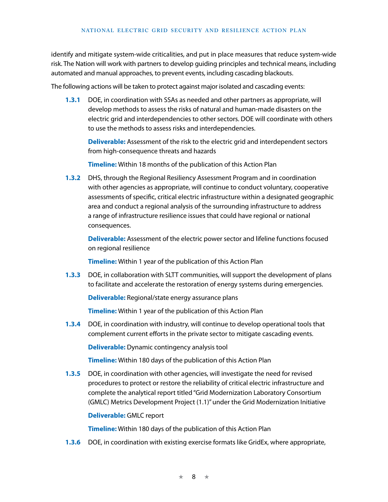identify and mitigate system-wide criticalities, and put in place measures that reduce system-wide risk. The Nation will work with partners to develop guiding principles and technical means, including automated and manual approaches, to prevent events, including cascading blackouts.

The following actions will be taken to protect against major isolated and cascading events:

**1.3.1** DOE, in coordination with SSAs as needed and other partners as appropriate, will develop methods to assess the risks of natural and human-made disasters on the electric grid and interdependencies to other sectors. DOE will coordinate with others to use the methods to assess risks and interdependencies.

**Deliverable:** Assessment of the risk to the electric grid and interdependent sectors from high-consequence threats and hazards

**Timeline:** Within 18 months of the publication of this Action Plan

**1.3.2** DHS, through the Regional Resiliency Assessment Program and in coordination with other agencies as appropriate, will continue to conduct voluntary, cooperative assessments of specific, critical electric infrastructure within a designated geographic area and conduct a regional analysis of the surrounding infrastructure to address a range of infrastructure resilience issues that could have regional or national consequences.

**Deliverable:** Assessment of the electric power sector and lifeline functions focused on regional resilience

**Timeline:** Within 1 year of the publication of this Action Plan

**1.3.3** DOE, in collaboration with SLTT communities, will support the development of plans to facilitate and accelerate the restoration of energy systems during emergencies.

**Deliverable:** Regional/state energy assurance plans

**Timeline:** Within 1 year of the publication of this Action Plan

**1.3.4** DOE, in coordination with industry, will continue to develop operational tools that complement current efforts in the private sector to mitigate cascading events.

**Deliverable:** Dynamic contingency analysis tool

**Timeline:** Within 180 days of the publication of this Action Plan

**1.3.5** DOE, in coordination with other agencies, will investigate the need for revised procedures to protect or restore the reliability of critical electric infrastructure and complete the analytical report titled "Grid Modernization Laboratory Consortium (GMLC) Metrics Development Project (1.1)" under the Grid Modernization Initiative

**Deliverable:** GMLC report

**Timeline:** Within 180 days of the publication of this Action Plan

**1.3.6** DOE, in coordination with existing exercise formats like GridEx, where appropriate,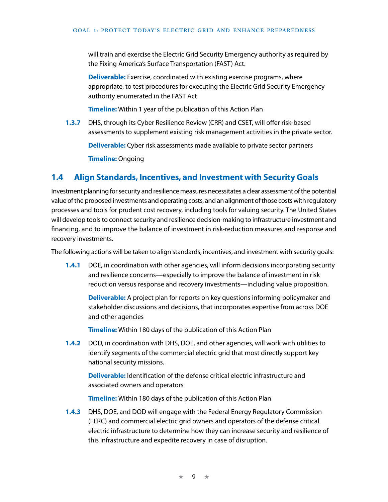will train and exercise the Electric Grid Security Emergency authority as required by the Fixing America's Surface Transportation (FAST) Act.

**Deliverable:** Exercise, coordinated with existing exercise programs, where appropriate, to test procedures for executing the Electric Grid Security Emergency authority enumerated in the FAST Act

**Timeline:** Within 1 year of the publication of this Action Plan

**1.3.7** DHS, through its Cyber Resilience Review (CRR) and CSET, will offer risk-based assessments to supplement existing risk management activities in the private sector.

**Deliverable:** Cyber risk assessments made available to private sector partners

**Timeline:** Ongoing

#### **1.4 Align Standards, Incentives, and Investment with Security Goals**

Investment planning for security and resilience measures necessitates a clear assessment of the potential value of the proposed investments and operating costs, and an alignment of those costs with regulatory processes and tools for prudent cost recovery, including tools for valuing security. The United States will develop tools to connect security and resilience decision-making to infrastructure investment and financing, and to improve the balance of investment in risk-reduction measures and response and recovery investments.

The following actions will be taken to align standards, incentives, and investment with security goals:

**1.4.1** DOE, in coordination with other agencies, will inform decisions incorporating security and resilience concerns—especially to improve the balance of investment in risk reduction versus response and recovery investments—including value proposition.

**Deliverable:** A project plan for reports on key questions informing policymaker and stakeholder discussions and decisions, that incorporates expertise from across DOE and other agencies

**Timeline:** Within 180 days of the publication of this Action Plan

**1.4.2** DOD, in coordination with DHS, DOE, and other agencies, will work with utilities to identify segments of the commercial electric grid that most directly support key national security missions.

**Deliverable:** Identification of the defense critical electric infrastructure and associated owners and operators

**Timeline:** Within 180 days of the publication of this Action Plan

**1.4.3** DHS, DOE, and DOD will engage with the Federal Energy Regulatory Commission (FERC) and commercial electric grid owners and operators of the defense critical electric infrastructure to determine how they can increase security and resilience of this infrastructure and expedite recovery in case of disruption.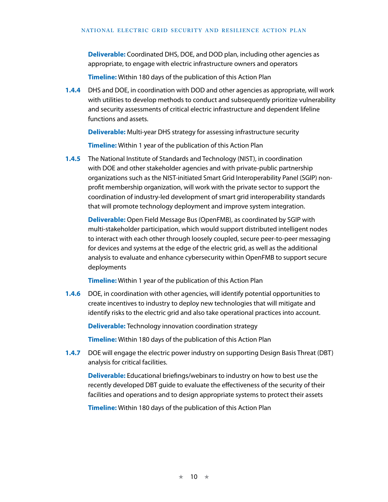**Deliverable:** Coordinated DHS, DOE, and DOD plan, including other agencies as appropriate, to engage with electric infrastructure owners and operators

**Timeline:** Within 180 days of the publication of this Action Plan

**1.4.4** DHS and DOE, in coordination with DOD and other agencies as appropriate, will work with utilities to develop methods to conduct and subsequently prioritize vulnerability and security assessments of critical electric infrastructure and dependent lifeline functions and assets.

**Deliverable:** Multi-year DHS strategy for assessing infrastructure security

**Timeline:** Within 1 year of the publication of this Action Plan

**1.4.5** The National Institute of Standards and Technology (NIST), in coordination with DOE and other stakeholder agencies and with private-public partnership organizations such as the NIST-initiated Smart Grid Interoperability Panel (SGIP) nonprofit membership organization, will work with the private sector to support the coordination of industry-led development of smart grid interoperability standards that will promote technology deployment and improve system integration.

**Deliverable:** Open Field Message Bus (OpenFMB), as coordinated by SGIP with multi-stakeholder participation, which would support distributed intelligent nodes to interact with each other through loosely coupled, secure peer-to-peer messaging for devices and systems at the edge of the electric grid, as well as the additional analysis to evaluate and enhance cybersecurity within OpenFMB to support secure deployments

**Timeline:** Within 1 year of the publication of this Action Plan

**1.4.6** DOE, in coordination with other agencies, will identify potential opportunities to create incentives to industry to deploy new technologies that will mitigate and identify risks to the electric grid and also take operational practices into account.

**Deliverable:** Technology innovation coordination strategy

**Timeline:** Within 180 days of the publication of this Action Plan

**1.4.7** DOE will engage the electric power industry on supporting Design Basis Threat (DBT) analysis for critical facilities.

**Deliverable:** Educational briefings/webinars to industry on how to best use the recently developed DBT guide to evaluate the effectiveness of the security of their facilities and operations and to design appropriate systems to protect their assets

**Timeline:** Within 180 days of the publication of this Action Plan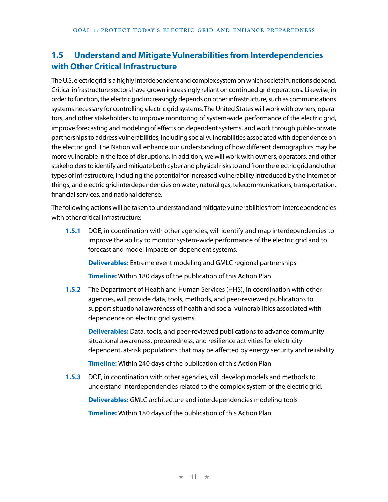# **1.5 Understand and Mitigate Vulnerabilities from Interdependencies with Other Critical Infrastructure**

The U.S. electric grid is a highly interdependent and complex system on which societal functions depend. Critical infrastructure sectors have grown increasingly reliant on continued grid operations. Likewise, in order to function, the electric grid increasingly depends on other infrastructure, such as communications systems necessary for controlling electric grid systems. The United States will work with owners, operators, and other stakeholders to improve monitoring of system-wide performance of the electric grid, improve forecasting and modeling of effects on dependent systems, and work through public-private partnerships to address vulnerabilities, including social vulnerabilities associated with dependence on the electric grid. The Nation will enhance our understanding of how different demographics may be more vulnerable in the face of disruptions. In addition, we will work with owners, operators, and other stakeholders to identify and mitigate both cyber and physical risks to and from the electric grid and other types of infrastructure, including the potential for increased vulnerability introduced by the internet of things, and electric grid interdependencies on water, natural gas, telecommunications, transportation, financial services, and national defense.

The following actions will be taken to understand and mitigate vulnerabilities from interdependencies with other critical infrastructure:

**1.5.1** DOE, in coordination with other agencies, will identify and map interdependencies to improve the ability to monitor system-wide performance of the electric grid and to forecast and model impacts on dependent systems.

**Deliverables:** Extreme event modeling and GMLC regional partnerships

**Timeline:** Within 180 days of the publication of this Action Plan

**1.5.2** The Department of Health and Human Services (HHS), in coordination with other agencies, will provide data, tools, methods, and peer-reviewed publications to support situational awareness of health and social vulnerabilities associated with dependence on electric grid systems.

**Deliverables:** Data, tools, and peer-reviewed publications to advance community situational awareness, preparedness, and resilience activities for electricitydependent, at-risk populations that may be affected by energy security and reliability

**Timeline:** Within 240 days of the publication of this Action Plan

**1.5.3** DOE, in coordination with other agencies, will develop models and methods to understand interdependencies related to the complex system of the electric grid.

**Deliverables:** GMLC architecture and interdependencies modeling tools

**Timeline:** Within 180 days of the publication of this Action Plan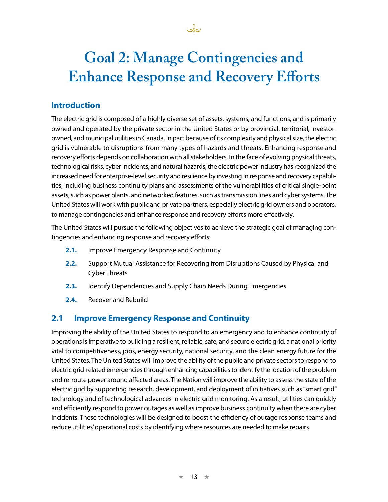# **Goal 2: Manage Contingencies and Enhance Response and Recovery Efforts**

Ja

# **Introduction**

The electric grid is composed of a highly diverse set of assets, systems, and functions, and is primarily owned and operated by the private sector in the United States or by provincial, territorial, investorowned, and municipal utilities in Canada. In part because of its complexity and physical size, the electric grid is vulnerable to disruptions from many types of hazards and threats. Enhancing response and recovery efforts depends on collaboration with all stakeholders. In the face of evolving physical threats, technological risks, cyber incidents, and natural hazards, the electric power industry has recognized the increased need for enterprise-level security and resilience by investing in response and recovery capabilities, including business continuity plans and assessments of the vulnerabilities of critical single-point assets, such as power plants, and networked features, such as transmission lines and cyber systems. The United States will work with public and private partners, especially electric grid owners and operators, to manage contingencies and enhance response and recovery efforts more effectively.

The United States will pursue the following objectives to achieve the strategic goal of managing contingencies and enhancing response and recovery efforts:

- **2.1.** Improve Emergency Response and Continuity
- **2.2.** Support Mutual Assistance for Recovering from Disruptions Caused by Physical and Cyber Threats
- **2.3.** Identify Dependencies and Supply Chain Needs During Emergencies
- **2.4.** Recover and Rebuild

## **2.1 Improve Emergency Response and Continuity**

Improving the ability of the United States to respond to an emergency and to enhance continuity of operations is imperative to building a resilient, reliable, safe, and secure electric grid, a national priority vital to competitiveness, jobs, energy security, national security, and the clean energy future for the United States. The United States will improve the ability of the public and private sectors to respond to electric grid-related emergencies through enhancing capabilities to identify the location of the problem and re-route power around affected areas. The Nation will improve the ability to assess the state of the electric grid by supporting research, development, and deployment of initiatives such as "smart grid" technology and of technological advances in electric grid monitoring. As a result, utilities can quickly and efficiently respond to power outages as well as improve business continuity when there are cyber incidents. These technologies will be designed to boost the efficiency of outage response teams and reduce utilities' operational costs by identifying where resources are needed to make repairs.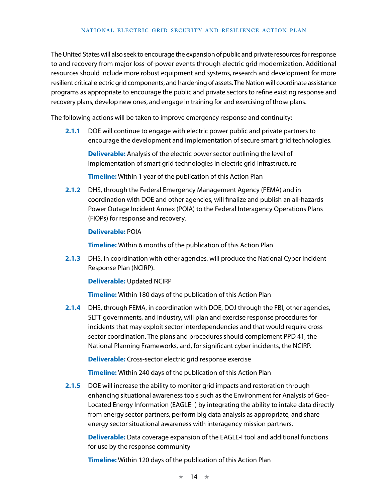The United States will also seek to encourage the expansion of public and private resources for response to and recovery from major loss-of-power events through electric grid modernization. Additional resources should include more robust equipment and systems, research and development for more resilient critical electric grid components, and hardening of assets. The Nation will coordinate assistance programs as appropriate to encourage the public and private sectors to refine existing response and recovery plans, develop new ones, and engage in training for and exercising of those plans.

The following actions will be taken to improve emergency response and continuity:

**2.1.1** DOE will continue to engage with electric power public and private partners to encourage the development and implementation of secure smart grid technologies.

**Deliverable:** Analysis of the electric power sector outlining the level of implementation of smart grid technologies in electric grid infrastructure

**Timeline:** Within 1 year of the publication of this Action Plan

**2.1.2** DHS, through the Federal Emergency Management Agency (FEMA) and in coordination with DOE and other agencies, will finalize and publish an all-hazards Power Outage Incident Annex (POIA) to the Federal Interagency Operations Plans (FIOPs) for response and recovery.

#### **Deliverable:** POIA

**Timeline:** Within 6 months of the publication of this Action Plan

**2.1.3** DHS, in coordination with other agencies, will produce the National Cyber Incident Response Plan (NCIRP).

#### **Deliverable:** Updated NCIRP

**Timeline:** Within 180 days of the publication of this Action Plan

**2.1.4** DHS, through FEMA, in coordination with DOE, DOJ through the FBI, other agencies, SLTT governments, and industry, will plan and exercise response procedures for incidents that may exploit sector interdependencies and that would require crosssector coordination. The plans and procedures should complement PPD 41, the National Planning Frameworks, and, for significant cyber incidents, the NCIRP.

**Deliverable:** Cross-sector electric grid response exercise

**Timeline:** Within 240 days of the publication of this Action Plan

**2.1.5** DOE will increase the ability to monitor grid impacts and restoration through enhancing situational awareness tools such as the Environment for Analysis of Geo-Located Energy Information (EAGLE-I) by integrating the ability to intake data directly from energy sector partners, perform big data analysis as appropriate, and share energy sector situational awareness with interagency mission partners.

**Deliverable:** Data coverage expansion of the EAGLE-I tool and additional functions for use by the response community

**Timeline:** Within 120 days of the publication of this Action Plan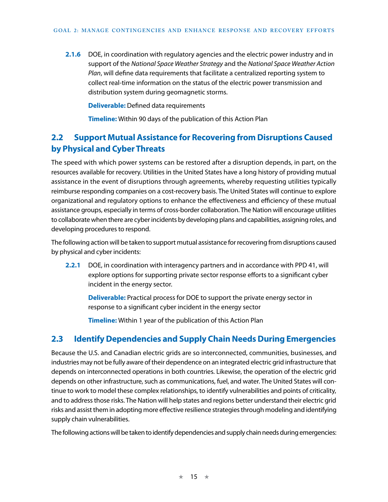**2.1.6** DOE, in coordination with regulatory agencies and the electric power industry and in support of the *National Space Weather Strategy* and the *National Space Weather Action Plan*, will define data requirements that facilitate a centralized reporting system to collect real-time information on the status of the electric power transmission and distribution system during geomagnetic storms.

**Deliverable:** Defined data requirements

**Timeline:** Within 90 days of the publication of this Action Plan

# **2.2 Support Mutual Assistance for Recovering from Disruptions Caused by Physical and Cyber Threats**

The speed with which power systems can be restored after a disruption depends, in part, on the resources available for recovery. Utilities in the United States have a long history of providing mutual assistance in the event of disruptions through agreements, whereby requesting utilities typically reimburse responding companies on a cost-recovery basis. The United States will continue to explore organizational and regulatory options to enhance the effectiveness and efficiency of these mutual assistance groups, especially in terms of cross-border collaboration. The Nation will encourage utilities to collaborate when there are cyber incidents by developing plans and capabilities, assigning roles, and developing procedures to respond.

The following action will be taken to support mutual assistance for recovering from disruptions caused by physical and cyber incidents:

**2.2.1** DOE, in coordination with interagency partners and in accordance with PPD 41, will explore options for supporting private sector response efforts to a significant cyber incident in the energy sector.

**Deliverable:** Practical process for DOE to support the private energy sector in response to a significant cyber incident in the energy sector

**Timeline:** Within 1 year of the publication of this Action Plan

## **2.3 Identify Dependencies and Supply Chain Needs During Emergencies**

Because the U.S. and Canadian electric grids are so interconnected, communities, businesses, and industries may not be fully aware of their dependence on an integrated electric grid infrastructure that depends on interconnected operations in both countries. Likewise, the operation of the electric grid depends on other infrastructure, such as communications, fuel, and water. The United States will continue to work to model these complex relationships, to identify vulnerabilities and points of criticality, and to address those risks. The Nation will help states and regions better understand their electric grid risks and assist them in adopting more effective resilience strategies through modeling and identifying supply chain vulnerabilities.

The following actions will be taken to identify dependencies and supply chain needs during emergencies: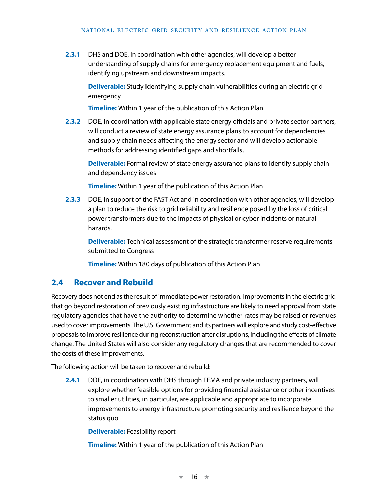**2.3.1** DHS and DOE, in coordination with other agencies, will develop a better understanding of supply chains for emergency replacement equipment and fuels, identifying upstream and downstream impacts.

**Deliverable:** Study identifying supply chain vulnerabilities during an electric grid emergency

**Timeline:** Within 1 year of the publication of this Action Plan

**2.3.2** DOE, in coordination with applicable state energy officials and private sector partners, will conduct a review of state energy assurance plans to account for dependencies and supply chain needs affecting the energy sector and will develop actionable methods for addressing identified gaps and shortfalls.

**Deliverable:** Formal review of state energy assurance plans to identify supply chain and dependency issues

**Timeline:** Within 1 year of the publication of this Action Plan

**2.3.3** DOE, in support of the FAST Act and in coordination with other agencies, will develop a plan to reduce the risk to grid reliability and resilience posed by the loss of critical power transformers due to the impacts of physical or cyber incidents or natural hazards.

**Deliverable:** Technical assessment of the strategic transformer reserve requirements submitted to Congress

**Timeline:** Within 180 days of publication of this Action Plan

## **2.4 Recover and Rebuild**

Recovery does not end as the result of immediate power restoration. Improvements in the electric grid that go beyond restoration of previously existing infrastructure are likely to need approval from state regulatory agencies that have the authority to determine whether rates may be raised or revenues used to cover improvements. The U.S. Government and its partners will explore and study cost-effective proposals to improve resilience during reconstruction after disruptions, including the effects of climate change. The United States will also consider any regulatory changes that are recommended to cover the costs of these improvements.

The following action will be taken to recover and rebuild:

**2.4.1** DOE, in coordination with DHS through FEMA and private industry partners, will explore whether feasible options for providing financial assistance or other incentives to smaller utilities, in particular, are applicable and appropriate to incorporate improvements to energy infrastructure promoting security and resilience beyond the status quo.

**Deliverable:** Feasibility report

**Timeline:** Within 1 year of the publication of this Action Plan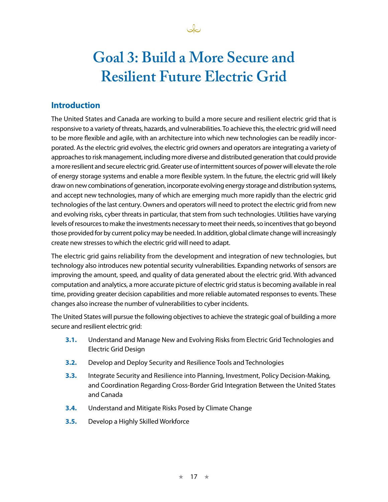

# **Goal 3: Build a More Secure and Resilient Future Electric Grid**

## **Introduction**

The United States and Canada are working to build a more secure and resilient electric grid that is responsive to a variety of threats, hazards, and vulnerabilities. To achieve this, the electric grid will need to be more flexible and agile, with an architecture into which new technologies can be readily incorporated. As the electric grid evolves, the electric grid owners and operators are integrating a variety of approaches to risk management, including more diverse and distributed generation that could provide a more resilient and secure electric grid. Greater use of intermittent sources of power will elevate the role of energy storage systems and enable a more flexible system. In the future, the electric grid will likely draw on new combinations of generation, incorporate evolving energy storage and distribution systems, and accept new technologies, many of which are emerging much more rapidly than the electric grid technologies of the last century. Owners and operators will need to protect the electric grid from new and evolving risks, cyber threats in particular, that stem from such technologies. Utilities have varying levels of resources to make the investments necessary to meet their needs, so incentives that go beyond those provided for by current policy may be needed. In addition, global climate change will increasingly create new stresses to which the electric grid will need to adapt.

The electric grid gains reliability from the development and integration of new technologies, but technology also introduces new potential security vulnerabilities. Expanding networks of sensors are improving the amount, speed, and quality of data generated about the electric grid. With advanced computation and analytics, a more accurate picture of electric grid status is becoming available in real time, providing greater decision capabilities and more reliable automated responses to events. These changes also increase the number of vulnerabilities to cyber incidents.

The United States will pursue the following objectives to achieve the strategic goal of building a more secure and resilient electric grid:

- **3.1.** Understand and Manage New and Evolving Risks from Electric Grid Technologies and Electric Grid Design
- **3.2.** Develop and Deploy Security and Resilience Tools and Technologies
- **3.3.** Integrate Security and Resilience into Planning, Investment, Policy Decision-Making, and Coordination Regarding Cross-Border Grid Integration Between the United States and Canada
- **3.4.** Understand and Mitigate Risks Posed by Climate Change
- **3.5.** Develop a Highly Skilled Workforce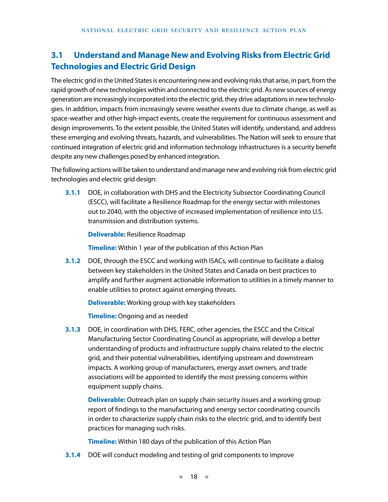# **3.1 Understand and Manage New and Evolving Risks from Electric Grid Technologies and Electric Grid Design**

The electric grid in the United States is encountering new and evolving risks that arise, in part, from the rapid growth of new technologies within and connected to the electric grid. As new sources of energy generation are increasingly incorporated into the electric grid, they drive adaptations in new technologies. In addition, impacts from increasingly severe weather events due to climate change, as well as space-weather and other high-impact events, create the requirement for continuous assessment and design improvements. To the extent possible, the United States will identify, understand, and address these emerging and evolving threats, hazards, and vulnerabilities. The Nation will seek to ensure that continued integration of electric grid and information technology infrastructures is a security benefit despite any new challenges posed by enhanced integration.

The following actions will be taken to understand and manage new and evolving risk from electric grid technologies and electric grid design:

**3.1.1** DOE, in collaboration with DHS and the Electricity Subsector Coordinating Council (ESCC), will facilitate a Resilience Roadmap for the energy sector with milestones out to 2040, with the objective of increased implementation of resilience into U.S. transmission and distribution systems.

**Deliverable:** Resilience Roadmap

**Timeline:** Within 1 year of the publication of this Action Plan

**3.1.2** DOE, through the ESCC and working with ISACs, will continue to facilitate a dialog between key stakeholders in the United States and Canada on best practices to amplify and further augment actionable information to utilities in a timely manner to enable utilities to protect against emerging threats.

**Deliverable:** Working group with key stakeholders

**Timeline:** Ongoing and as needed

**3.1.3** DOE, in coordination with DHS, FERC, other agencies, the ESCC and the Critical Manufacturing Sector Coordinating Council as appropriate, will develop a better understanding of products and infrastructure supply chains related to the electric grid, and their potential vulnerabilities, identifying upstream and downstream impacts. A working group of manufacturers, energy asset owners, and trade associations will be appointed to identify the most pressing concerns within equipment supply chains.

**Deliverable:** Outreach plan on supply chain security issues and a working group report of findings to the manufacturing and energy sector coordinating councils in order to characterize supply chain risks to the electric grid, and to identify best practices for managing such risks.

**Timeline:** Within 180 days of the publication of this Action Plan

**3.1.4** DOE will conduct modeling and testing of grid components to improve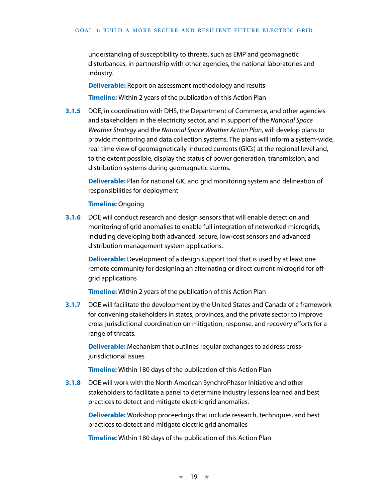understanding of susceptibility to threats, such as EMP and geomagnetic disturbances, in partnership with other agencies, the national laboratories and industry.

**Deliverable:** Report on assessment methodology and results **Timeline:** Within 2 years of the publication of this Action Plan

**3.1.5** DOE, in coordination with DHS, the Department of Commerce, and other agencies and stakeholders in the electricity sector, and in support of the *National Space Weather Strategy* and the *National Space Weather Action Plan*, will develop plans to provide monitoring and data collection systems. The plans will inform a system-wide, real-time view of geomagnetically induced currents (GICs) at the regional level and, to the extent possible, display the status of power generation, transmission, and distribution systems during geomagnetic storms.

**Deliverable:** Plan for national GIC and grid monitoring system and delineation of responsibilities for deployment

#### **Timeline:** Ongoing

**3.1.6** DOE will conduct research and design sensors that will enable detection and monitoring of grid anomalies to enable full integration of networked microgrids, including developing both advanced, secure, low-cost sensors and advanced distribution management system applications.

**Deliverable:** Development of a design support tool that is used by at least one remote community for designing an alternating or direct current microgrid for offgrid applications

**Timeline:** Within 2 years of the publication of this Action Plan

**3.1.7** DOE will facilitate the development by the United States and Canada of a framework for convening stakeholders in states, provinces, and the private sector to improve cross-jurisdictional coordination on mitigation, response, and recovery efforts for a range of threats.

**Deliverable:** Mechanism that outlines regular exchanges to address crossjurisdictional issues

**Timeline:** Within 180 days of the publication of this Action Plan

**3.1.8** DOE will work with the North American SynchroPhasor Initiative and other stakeholders to facilitate a panel to determine industry lessons learned and best practices to detect and mitigate electric grid anomalies.

**Deliverable:** Workshop proceedings that include research, techniques, and best practices to detect and mitigate electric grid anomalies

**Timeline:** Within 180 days of the publication of this Action Plan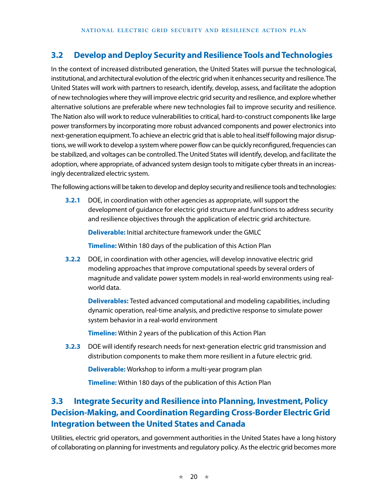# **3.2 Develop and Deploy Security and Resilience Tools and Technologies**

In the context of increased distributed generation, the United States will pursue the technological, institutional, and architectural evolution of the electric grid when it enhances security and resilience. The United States will work with partners to research, identify, develop, assess, and facilitate the adoption of new technologies where they will improve electric grid security and resilience, and explore whether alternative solutions are preferable where new technologies fail to improve security and resilience. The Nation also will work to reduce vulnerabilities to critical, hard-to-construct components like large power transformers by incorporating more robust advanced components and power electronics into next-generation equipment. To achieve an electric grid that is able to heal itself following major disruptions, we will work to develop a system where power flow can be quickly reconfigured, frequencies can be stabilized, and voltages can be controlled. The United States will identify, develop, and facilitate the adoption, where appropriate, of advanced system design tools to mitigate cyber threats in an increasingly decentralized electric system.

The following actions will be taken to develop and deploy security and resilience tools and technologies:

**3.2.1** DOE, in coordination with other agencies as appropriate, will support the development of guidance for electric grid structure and functions to address security and resilience objectives through the application of electric grid architecture.

**Deliverable:** Initial architecture framework under the GMLC

**Timeline:** Within 180 days of the publication of this Action Plan

**3.2.2** DOE, in coordination with other agencies, will develop innovative electric grid modeling approaches that improve computational speeds by several orders of magnitude and validate power system models in real-world environments using realworld data.

**Deliverables:** Tested advanced computational and modeling capabilities, including dynamic operation, real-time analysis, and predictive response to simulate power system behavior in a real-world environment

**Timeline:** Within 2 years of the publication of this Action Plan

**3.2.3** DOE will identify research needs for next-generation electric grid transmission and distribution components to make them more resilient in a future electric grid.

**Deliverable:** Workshop to inform a multi-year program plan

**Timeline:** Within 180 days of the publication of this Action Plan

# **3.3 Integrate Security and Resilience into Planning, Investment, Policy Decision-Making, and Coordination Regarding Cross-Border Electric Grid Integration between the United States and Canada**

Utilities, electric grid operators, and government authorities in the United States have a long history of collaborating on planning for investments and regulatory policy. As the electric grid becomes more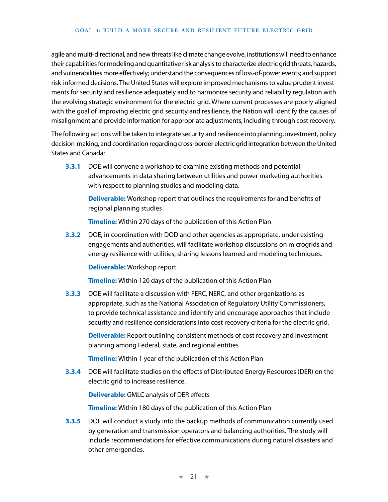agile and multi-directional, and new threats like climate change evolve, institutions will need to enhance their capabilities for modeling and quantitative risk analysis to characterize electric grid threats, hazards, and vulnerabilities more effectively; understand the consequences of loss-of-power events; and support risk-informed decisions. The United States will explore improved mechanisms to value prudent investments for security and resilience adequately and to harmonize security and reliability regulation with the evolving strategic environment for the electric grid. Where current processes are poorly aligned with the goal of improving electric grid security and resilience, the Nation will identify the causes of misalignment and provide information for appropriate adjustments, including through cost recovery.

The following actions will be taken to integrate security and resilience into planning, investment, policy decision-making, and coordination regarding cross-border electric grid integration between the United States and Canada:

**3.3.1** DOE will convene a workshop to examine existing methods and potential advancements in data sharing between utilities and power marketing authorities with respect to planning studies and modeling data.

**Deliverable:** Workshop report that outlines the requirements for and benefits of regional planning studies

**Timeline:** Within 270 days of the publication of this Action Plan

**3.3.2** DOE, in coordination with DOD and other agencies as appropriate, under existing engagements and authorities, will facilitate workshop discussions on microgrids and energy resilience with utilities, sharing lessons learned and modeling techniques.

#### **Deliverable:** Workshop report

**Timeline:** Within 120 days of the publication of this Action Plan

**3.3.3** DOE will facilitate a discussion with FERC, NERC, and other organizations as appropriate, such as the National Association of Regulatory Utility Commissioners, to provide technical assistance and identify and encourage approaches that include security and resilience considerations into cost recovery criteria for the electric grid.

**Deliverable:** Report outlining consistent methods of cost recovery and investment planning among Federal, state, and regional entities

**Timeline:** Within 1 year of the publication of this Action Plan

**3.3.4** DOE will facilitate studies on the effects of Distributed Energy Resources (DER) on the electric grid to increase resilience.

**Deliverable:** GMLC analysis of DER effects

**Timeline:** Within 180 days of the publication of this Action Plan

**3.3.5** DOE will conduct a study into the backup methods of communication currently used by generation and transmission operators and balancing authorities. The study will include recommendations for effective communications during natural disasters and other emergencies.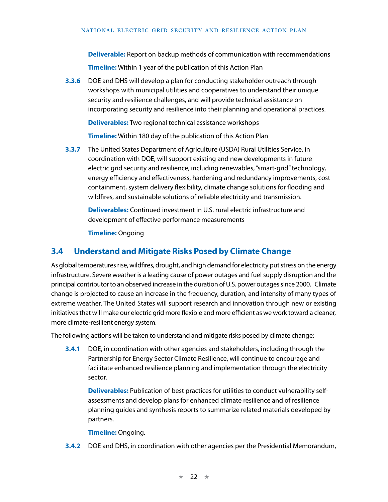**Deliverable:** Report on backup methods of communication with recommendations

**Timeline:** Within 1 year of the publication of this Action Plan

**3.3.6** DOE and DHS will develop a plan for conducting stakeholder outreach through workshops with municipal utilities and cooperatives to understand their unique security and resilience challenges, and will provide technical assistance on incorporating security and resilience into their planning and operational practices.

**Deliverables:** Two regional technical assistance workshops

**Timeline:** Within 180 day of the publication of this Action Plan

**3.3.7** The United States Department of Agriculture (USDA) Rural Utilities Service, in coordination with DOE, will support existing and new developments in future electric grid security and resilience, including renewables, "smart-grid" technology, energy efficiency and effectiveness, hardening and redundancy improvements, cost containment, system delivery flexibility, climate change solutions for flooding and wildfires, and sustainable solutions of reliable electricity and transmission.

**Deliverables:** Continued investment in U.S. rural electric infrastructure and development of effective performance measurements

**Timeline:** Ongoing

## **3.4 Understand and Mitigate Risks Posed by Climate Change**

As global temperatures rise, wildfires, drought, and high demand for electricity put stress on the energy infrastructure. Severe weather is a leading cause of power outages and fuel supply disruption and the principal contributor to an observed increase in the duration of U.S. power outages since 2000. Climate change is projected to cause an increase in the frequency, duration, and intensity of many types of extreme weather. The United States will support research and innovation through new or existing initiatives that will make our electric grid more flexible and more efficient as we work toward a cleaner, more climate-resilient energy system.

The following actions will be taken to understand and mitigate risks posed by climate change:

**3.4.1** DOE, in coordination with other agencies and stakeholders, including through the Partnership for Energy Sector Climate Resilience, will continue to encourage and facilitate enhanced resilience planning and implementation through the electricity sector.

**Deliverables:** Publication of best practices for utilities to conduct vulnerability selfassessments and develop plans for enhanced climate resilience and of resilience planning guides and synthesis reports to summarize related materials developed by partners.

**Timeline:** Ongoing.

**3.4.2** DOE and DHS, in coordination with other agencies per the Presidential Memorandum,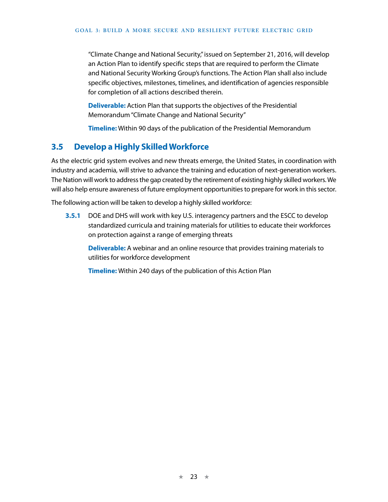"Climate Change and National Security," issued on September 21, 2016, will develop an Action Plan to identify specific steps that are required to perform the Climate and National Security Working Group's functions. The Action Plan shall also include specific objectives, milestones, timelines, and identification of agencies responsible for completion of all actions described therein.

**Deliverable:** Action Plan that supports the objectives of the Presidential Memorandum "Climate Change and National Security"

**Timeline:** Within 90 days of the publication of the Presidential Memorandum

### **3.5 Develop a Highly Skilled Workforce**

As the electric grid system evolves and new threats emerge, the United States, in coordination with industry and academia, will strive to advance the training and education of next-generation workers. The Nation will work to address the gap created by the retirement of existing highly skilled workers. We will also help ensure awareness of future employment opportunities to prepare for work in this sector.

The following action will be taken to develop a highly skilled workforce:

**3.5.1** DOE and DHS will work with key U.S. interagency partners and the ESCC to develop standardized curricula and training materials for utilities to educate their workforces on protection against a range of emerging threats

**Deliverable:** A webinar and an online resource that provides training materials to utilities for workforce development

**Timeline:** Within 240 days of the publication of this Action Plan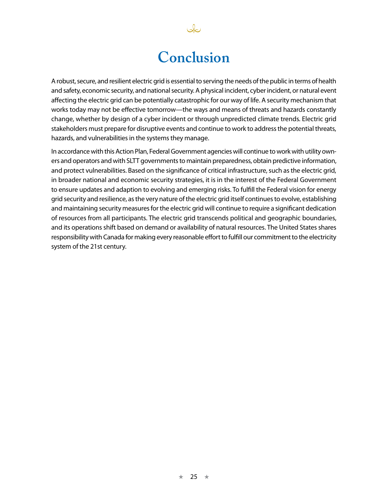# **Conclusion**

نكك

A robust, secure, and resilient electric grid is essential to serving the needs of the public in terms of health and safety, economic security, and national security. A physical incident, cyber incident, or natural event affecting the electric grid can be potentially catastrophic for our way of life. A security mechanism that works today may not be effective tomorrow—the ways and means of threats and hazards constantly change, whether by design of a cyber incident or through unpredicted climate trends. Electric grid stakeholders must prepare for disruptive events and continue to work to address the potential threats, hazards, and vulnerabilities in the systems they manage.

In accordance with this Action Plan, Federal Government agencies will continue to work with utility owners and operators and with SLTT governments to maintain preparedness, obtain predictive information, and protect vulnerabilities. Based on the significance of critical infrastructure, such as the electric grid, in broader national and economic security strategies, it is in the interest of the Federal Government to ensure updates and adaption to evolving and emerging risks. To fulfill the Federal vision for energy grid security and resilience, as the very nature of the electric grid itself continues to evolve, establishing and maintaining security measures for the electric grid will continue to require a significant dedication of resources from all participants. The electric grid transcends political and geographic boundaries, and its operations shift based on demand or availability of natural resources. The United States shares responsibility with Canada for making every reasonable effort to fulfill our commitment to the electricity system of the 21st century.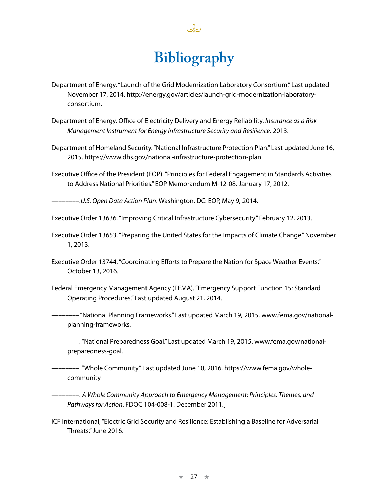# **Bibliography**

- Department of Energy. "Launch of the Grid Modernization Laboratory Consortium." Last updated November 17, 2014. http://energy.gov/articles/launch-grid-modernization-laboratoryconsortium.
- Department of Energy. Office of Electricity Delivery and Energy Reliability. *Insurance as a Risk Management Instrument for Energy Infrastructure Security and Resilience*. 2013.
- Department of Homeland Security. "National Infrastructure Protection Plan." Last updated June 16, 2015. https://www.dhs.gov/national-infrastructure-protection-plan.
- Executive Office of the President (EOP). "Principles for Federal Engagement in Standards Activities to Address National Priorities." EOP Memorandum M-12-08. January 17, 2012.

––––––––.*U.S. Open Data Action Plan*. Washington, DC: EOP, May 9, 2014.

Executive Order 13636. "Improving Critical Infrastructure Cybersecurity." February 12, 2013.

- Executive Order 13653. "Preparing the United States for the Impacts of Climate Change." November 1, 2013.
- Executive Order 13744. "Coordinating Efforts to Prepare the Nation for Space Weather Events." October 13, 2016.
- Federal Emergency Management Agency (FEMA). "Emergency Support Function 15: Standard Operating Procedures." Last updated August 21, 2014.
- ––––––––."National Planning Frameworks." Last updated March 19, 2015. [www.fema.gov/national](http://www.fema.gov/national-planning-frameworks)[planning-frameworks.](http://www.fema.gov/national-planning-frameworks)
- ––––––––. "National Preparedness Goal." Last updated March 19, 2015. [www.fema.gov/national](https://www.fema.gov/national-preparedness-goal)[preparedness-goal](https://www.fema.gov/national-preparedness-goal).
- ––––––––. "Whole Community." Last updated June 10, 2016. https://www.fema.gov/wholecommunity
- ––––––––. *A Whole Community Approach to Emergency Management: Principles, Themes, and Pathways for Action*. FDOC 104-008-1. December 2011.
- ICF International, "Electric Grid Security and Resilience: Establishing a Baseline for Adversarial Threats." June 2016.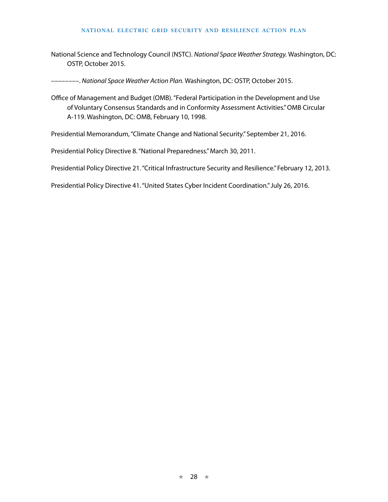#### NATIONAL ELECTRIC GRID SECURITY AND RESILIENCE ACTION PLAN

National Science and Technology Council (NSTC). National Space Weather Strategy. Washington, DC: OSTP. October 2015.

---------. National Space Weather Action Plan. Washington, DC: OSTP, October 2015.

Office of Management and Budget (OMB). "Federal Participation in the Development and Use of Voluntary Consensus Standards and in Conformity Assessment Activities." OMB Circular A-119. Washington, DC: OMB, February 10, 1998.

Presidential Memorandum, "Climate Change and National Security." September 21, 2016.

Presidential Policy Directive 8. "National Preparedness." March 30, 2011.

Presidential Policy Directive 21. "Critical Infrastructure Security and Resilience." February 12, 2013.

Presidential Policy Directive 41. "United States Cyber Incident Coordination." July 26, 2016.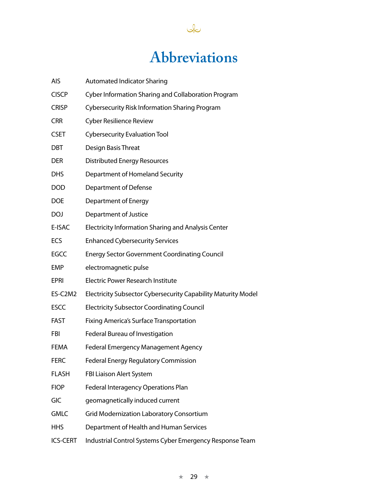# **Abbreviations**

 $\sqrt{2}$ 

| AIS          | <b>Automated Indicator Sharing</b>                            |
|--------------|---------------------------------------------------------------|
| <b>CISCP</b> | Cyber Information Sharing and Collaboration Program           |
| <b>CRISP</b> | <b>Cybersecurity Risk Information Sharing Program</b>         |
| <b>CRR</b>   | <b>Cyber Resilience Review</b>                                |
| <b>CSET</b>  | <b>Cybersecurity Evaluation Tool</b>                          |
| DBT          | Design Basis Threat                                           |
| <b>DER</b>   | <b>Distributed Energy Resources</b>                           |
| <b>DHS</b>   | Department of Homeland Security                               |
| <b>DOD</b>   | Department of Defense                                         |
| <b>DOE</b>   | Department of Energy                                          |
| <b>DOJ</b>   | Department of Justice                                         |
| E-ISAC       | Electricity Information Sharing and Analysis Center           |
| ECS          | <b>Enhanced Cybersecurity Services</b>                        |
| <b>EGCC</b>  | <b>Energy Sector Government Coordinating Council</b>          |
| EMP          | electromagnetic pulse                                         |
| EPRI         | <b>Electric Power Research Institute</b>                      |
| ES-C2M2      | Electricity Subsector Cybersecurity Capability Maturity Model |
| <b>ESCC</b>  | <b>Electricity Subsector Coordinating Council</b>             |
| <b>FAST</b>  | <b>Fixing America's Surface Transportation</b>                |
| FBI          | Federal Bureau of Investigation                               |
| FEMA         | Federal Emergency Management Agency                           |
| <b>FERC</b>  | <b>Federal Energy Regulatory Commission</b>                   |
| <b>FLASH</b> | FBI Liaison Alert System                                      |
| <b>FIOP</b>  | Federal Interagency Operations Plan                           |
| GIC          | geomagnetically induced current                               |
| <b>GMLC</b>  | Grid Modernization Laboratory Consortium                      |
| <b>HHS</b>   | Department of Health and Human Services                       |
|              |                                                               |

ICS-CERT Industrial Control Systems Cyber Emergency Response Team